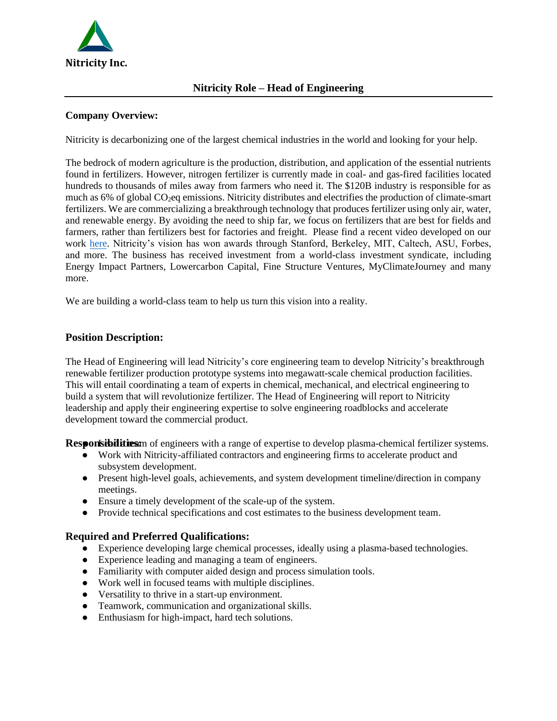

#### **Company Overview:**

Nitricity is decarbonizing one of the largest chemical industries in the world and looking for your help.

The bedrock of modern agriculture is the production, distribution, and application of the essential nutrients found in fertilizers. However, nitrogen fertilizer is currently made in coal- and gas-fired facilities located hundreds to thousands of miles away from farmers who need it. The \$120B industry is responsible for as much as 6% of global CO<sub>2</sub>eq emissions. Nitricity distributes and electrifies the production of climate-smart fertilizers. We are commercializing a breakthrough technology that produces fertilizer using only air, water, and renewable energy. By avoiding the need to ship far, we focus on fertilizers that are best for fields and farmers, rather than fertilizers best for factories and freight. Please find a recent video developed on our work [here.](https://www.youtube.com/watch?v=5lsRb-OGu_U&ab_channel=PiqueAction) Nitricity's vision has won awards through Stanford, Berkeley, MIT, Caltech, ASU, Forbes, and more. The business has received investment from a world-class investment syndicate, including Energy Impact Partners, Lowercarbon Capital, Fine Structure Ventures, MyClimateJourney and many more.

We are building a world-class team to help us turn this vision into a reality.

#### **Position Description:**

The Head of Engineering will lead Nitricity's core engineering team to develop Nitricity's breakthrough renewable fertilizer production prototype systems into megawatt-scale chemical production facilities. This will entail coordinating a team of experts in chemical, mechanical, and electrical engineering to build a system that will revolutionize fertilizer. The Head of Engineering will report to Nitricity leadership and apply their engineering expertise to solve engineering roadblocks and accelerate development toward the commercial product.

**Responsibilities:**  $\mu$  of engineers with a range of expertise to develop plasma-chemical fertilizer systems.

- Work with Nitricity-affiliated contractors and engineering firms to accelerate product and subsystem development.
- Present high-level goals, achievements, and system development timeline/direction in company meetings.
- Ensure a timely development of the scale-up of the system.
- Provide technical specifications and cost estimates to the business development team.

## **Required and Preferred Qualifications:**

- Experience developing large chemical processes, ideally using a plasma-based technologies.
- Experience leading and managing a team of engineers.
- Familiarity with computer aided design and process simulation tools.
- Work well in focused teams with multiple disciplines.
- Versatility to thrive in a start-up environment.
- Teamwork, communication and organizational skills.
- Enthusiasm for high-impact, hard tech solutions.